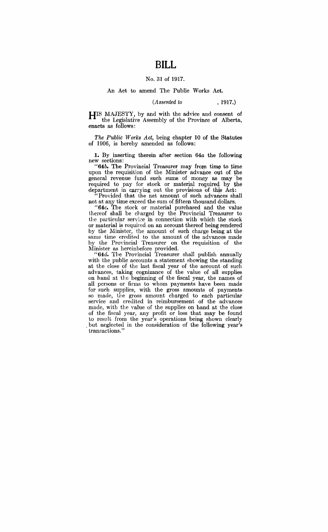# **BILL**

### No. 31 of 1917.

#### An Act to amend The Public Works Act.

#### *(Assented to* , 1917.)

HIS MAJESTY, by and with the advice and consent of the Legislative Assembly of the Province of Alberta, enacts as follows:

*The Public Works Act,* being chapter 10 of the Statutes of 1906, is hereby amended as follows:

**1.** By inserting therein after sectiop. *64a* the following new sections:

"64b. The Provincial Treasurer may from time to time upon the requisition of the Minister advance out of the general revenue fund such sums of money as may be required to pay for stock or material required by the department in carrying out the provisions of this Act:

"Provided that the net amount of such advances shall not at any time exceed the sum of fifteen thousand dollars.

*"64:c.* The stork or material purchased and the value thereof shall be charged by the Provincial Treasurer to the particular service in connection with which the stock or material is required on an account thereof being rendered by the Minister, the amount of such charge being at the same time credited to the amount of the advances made by the Provincial Treasurer on the requisition of the Minister as hereinbefore provided.

"64d. The Provincial Treasurer shall publish annually with the public accounts a statement showing the standing at the close of the last fiscal year of the account of such advances, taking cognizance of the value of all supplies on hand at the beginning of the fiscal year, the names of all persons or firms to whom payments have been made for such supplies, with the gross amounts of payments. so made, the gross amount charged to each particular service and credited in reimbursement of the advances made, with the value of the supplies on hand at the close of the fiscal year, any profit or loss that may be found to result from the year's operations being shown clearly but neglected in the consideration of the following year's transactions.'